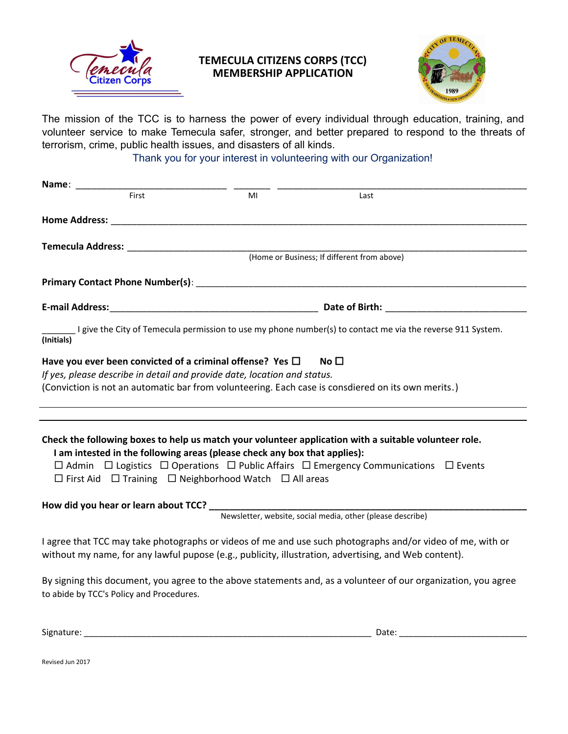

## **TEMECULA CITIZENS CORPS (TCC) MEMBERSHIP APPLICATION**



The mission of the TCC is to harness the power of every individual through education, training, and volunteer service to make Temecula safer, stronger, and better prepared to respond to the threats of terrorism, crime, public health issues, and disasters of all kinds.

Thank you for your interest in volunteering with our Organization!

| Name:                                                                                                                                                                                                                                            |    |                                                                                                                                                                                                                              |
|--------------------------------------------------------------------------------------------------------------------------------------------------------------------------------------------------------------------------------------------------|----|------------------------------------------------------------------------------------------------------------------------------------------------------------------------------------------------------------------------------|
| First                                                                                                                                                                                                                                            | MI | Last                                                                                                                                                                                                                         |
|                                                                                                                                                                                                                                                  |    |                                                                                                                                                                                                                              |
|                                                                                                                                                                                                                                                  |    | (Home or Business; If different from above)                                                                                                                                                                                  |
|                                                                                                                                                                                                                                                  |    |                                                                                                                                                                                                                              |
|                                                                                                                                                                                                                                                  |    |                                                                                                                                                                                                                              |
|                                                                                                                                                                                                                                                  |    |                                                                                                                                                                                                                              |
| (Initials)                                                                                                                                                                                                                                       |    | I give the City of Temecula permission to use my phone number(s) to contact me via the reverse 911 System.                                                                                                                   |
| Have you ever been convicted of a criminal offense? Yes $\Box$<br>If yes, please describe in detail and provide date, location and status.<br>(Conviction is not an automatic bar from volunteering. Each case is consdiered on its own merits.) |    | No $\Box$                                                                                                                                                                                                                    |
| I am intested in the following areas (please check any box that applies):<br>$\Box$ First Aid $\Box$ Training $\Box$ Neighborhood Watch $\Box$ All areas                                                                                         |    | Check the following boxes to help us match your volunteer application with a suitable volunteer role.<br>$\Box$ Admin $\Box$ Logistics $\Box$ Operations $\Box$ Public Affairs $\Box$ Emergency Communications $\Box$ Events |
|                                                                                                                                                                                                                                                  |    |                                                                                                                                                                                                                              |
|                                                                                                                                                                                                                                                  |    |                                                                                                                                                                                                                              |
| without my name, for any lawful pupose (e.g., publicity, illustration, advertising, and Web content).                                                                                                                                            |    | I agree that TCC may take photographs or videos of me and use such photographs and/or video of me, with or                                                                                                                   |
| to abide by TCC's Policy and Procedures.                                                                                                                                                                                                         |    | By signing this document, you agree to the above statements and, as a volunteer of our organization, you agree                                                                                                               |
|                                                                                                                                                                                                                                                  |    |                                                                                                                                                                                                                              |

Signature: \_\_\_\_\_\_\_\_\_\_\_\_\_\_\_\_\_\_\_\_\_\_\_\_\_\_\_\_\_\_\_\_\_\_\_\_\_\_\_\_\_\_\_\_\_\_\_\_\_\_\_\_\_\_\_\_\_\_\_\_ Date: \_\_\_\_\_\_\_\_\_\_\_\_\_\_\_\_\_\_\_\_\_\_\_\_\_\_\_

Revised Jun 2017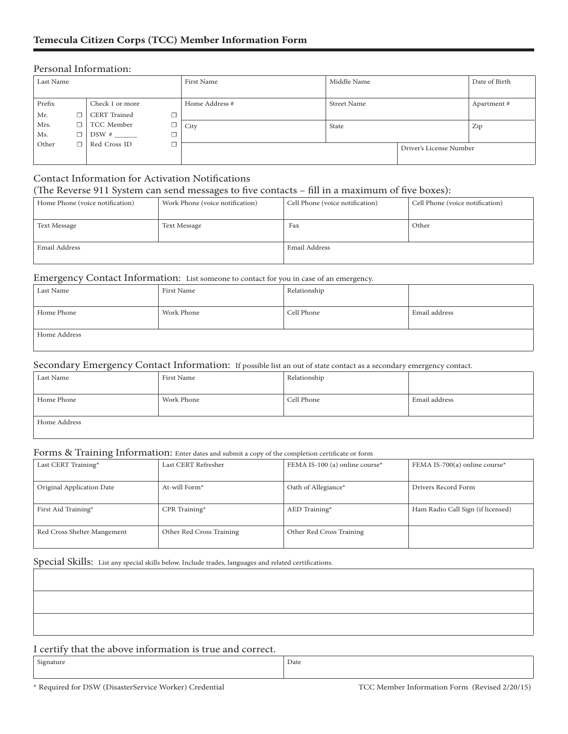#### Personal Information:

| Last Name |    |                          | First Name     | Middle Name        |                         | Date of Birth |
|-----------|----|--------------------------|----------------|--------------------|-------------------------|---------------|
|           |    |                          |                |                    |                         |               |
| Prefix    |    | Check 1 or more          | Home Address # | <b>Street Name</b> |                         | Apartment#    |
| Mr.       | П. | <b>CERT</b> Trained<br>□ |                |                    |                         |               |
| Mrs.      | □  | TCC Member               | City           | State              |                         | Zip           |
| Ms.       | □  |                          |                |                    |                         |               |
| Other     | П. | Red Cross ID             |                |                    | Driver's License Number |               |
|           |    |                          |                |                    |                         |               |

### Contact Information for Activation Notifications (The Reverse 911 System can send messages to five contacts – fill in a maximum of five boxes):

| Home Phone (voice notification) | Work Phone (voice notification) | Cell Phone (voice notification) | Cell Phone (voice notification) |
|---------------------------------|---------------------------------|---------------------------------|---------------------------------|
|                                 |                                 |                                 |                                 |
| <b>Text Message</b>             | <b>Text Message</b>             | Fax                             | Other                           |
|                                 |                                 |                                 |                                 |
| Email Address                   |                                 | Email Address                   |                                 |
|                                 |                                 |                                 |                                 |

#### Emergency Contact Information: List someone to contact for you in case of an emergency.

| Last Name    | First Name | Relationship |               |
|--------------|------------|--------------|---------------|
|              |            |              |               |
| Home Phone   | Work Phone | Cell Phone   | Email address |
|              |            |              |               |
| Home Address |            |              |               |
|              |            |              |               |

#### Secondary Emergency Contact Information: If possible list an out of state contact as a secondary emergency contact.

| Last Name    | First Name | Relationship |               |
|--------------|------------|--------------|---------------|
| Home Phone   | Work Phone | Cell Phone   | Email address |
| Home Address |            |              |               |

#### Forms & Training Information: Enter dates and submit a copy of the completion certificate or form

| Last CERT Training*         | Last CERT Refresher      | FEMA IS-100 (a) online course* | FEMA IS-700(a) online course*     |
|-----------------------------|--------------------------|--------------------------------|-----------------------------------|
| Original Application Date   | At-will Form $*$         | Oath of Allegiance*            | Drivers Record Form               |
| First Aid Training*         | CPR Training*            | AED Training*                  | Ham Radio Call Sign (if licensed) |
| Red Cross Shelter Mangement | Other Red Cross Training | Other Red Cross Training       |                                   |

Special Skills: List any special skills below. Include trades, languages and related certifications.

#### I certify that the above information is true and correct.

Signature Date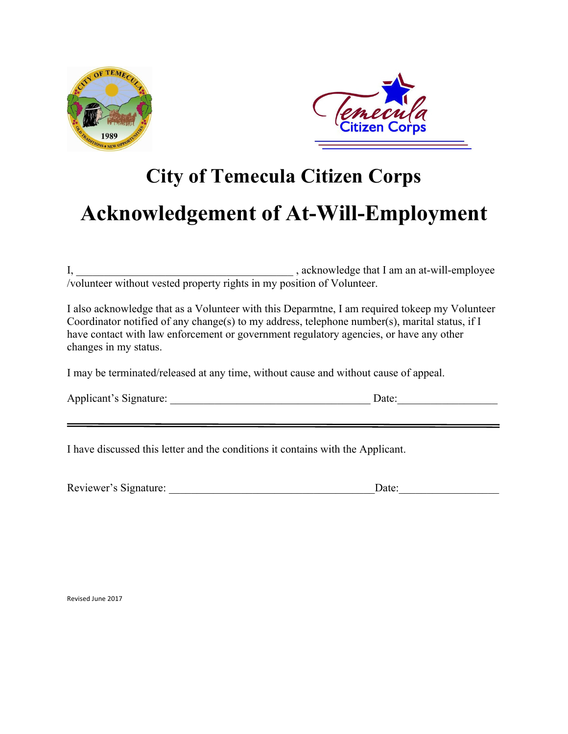



# **City of Temecula Citizen Corps Acknowledgement of At-Will-Employment**

I, \_\_\_\_\_\_\_\_\_\_\_\_\_\_\_\_\_\_\_\_\_\_\_\_\_\_\_\_\_\_\_\_\_\_\_\_\_\_\_ , acknowledge that I am an at-will-employee /volunteer without vested property rights in my position of Volunteer.

I also acknowledge that as a Volunteer with this Deparmtne, I am required tokeep my Volunteer Coordinator notified of any change(s) to my address, telephone number(s), marital status, if I have contact with law enforcement or government regulatory agencies, or have any other changes in my status.

I may be terminated/released at any time, without cause and without cause of appeal.

| Applicant's Signature: |  |
|------------------------|--|
|------------------------|--|

 $Date:$ 

I have discussed this letter and the conditions it contains with the Applicant.

| Reviewer's Signature:<br>)ate |
|-------------------------------|
|-------------------------------|

Revised June 2017